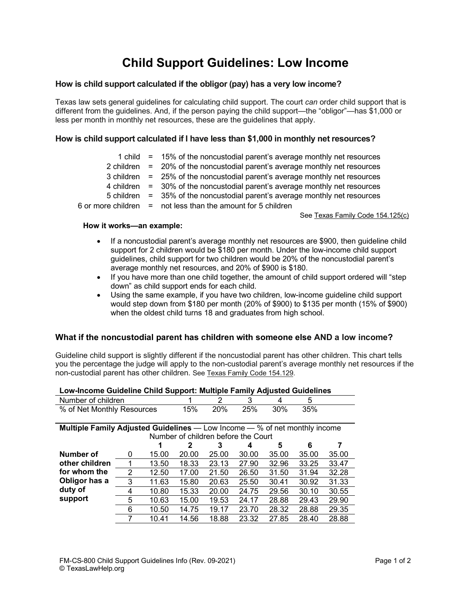# **Child Support Guidelines: Low Income**

## **How is child support calculated if the obligor (pay) has a very low income?**

Texas law sets general guidelines for calculating child support. The court *can* order child support that is different from the guidelines. And, if the person paying the child support—the "obligor"—has \$1,000 or less per month in monthly net resources, these are the guidelines that apply.

## **How is child support calculated if I have less than \$1,000 in monthly net resources?**

|  | 1 child $=$ 15% of the noncustodial parent's average monthly net resources    |
|--|-------------------------------------------------------------------------------|
|  | 2 children $=$ 20% of the noncustodial parent's average monthly net resources |
|  | 3 children = 25% of the noncustodial parent's average monthly net resources   |
|  | 4 children = 30% of the noncustodial parent's average monthly net resources   |
|  | 5 children = 35% of the noncustodial parent's average monthly net resources   |
|  | 6 or more children $=$ not less than the amount for 5 children                |

See Texas Family Code 154.125(c)

#### **How it works—an example:**

- If a noncustodial parent's average monthly net resources are \$900, then guideline child support for 2 children would be \$180 per month. Under the low-income child support guidelines, child support for two children would be 20% of the noncustodial parent's average monthly net resources, and 20% of \$900 is \$180.
- If you have more than one child together, the amount of child support ordered will "step" down" as child support ends for each child.
- Using the same example, if you have two children, low-income guideline child support would step down from \$180 per month (20% of \$900) to \$135 per month (15% of \$900) when the oldest child turns 18 and graduates from high school.

## **What if the noncustodial parent has children with someone else AND a low income?**

Guideline child support is slightly different if the noncustodial parent has other children. This chart tells you the percentage the judge will apply to the non-custodial parent's average monthly net resources if the non-custodial parent has other children. See Texas Family Code 154.129.

| Low-Income Guideline Child Support: Multiple Family Adjusted Guidelines           |   |       |       |       |       |       |       |       |  |  |  |
|-----------------------------------------------------------------------------------|---|-------|-------|-------|-------|-------|-------|-------|--|--|--|
| Number of children                                                                |   | 2     | 3     | 4     | 5     |       |       |       |  |  |  |
| % of Net Monthly Resources                                                        |   |       | 15%   | 20%   | 25%   | 30%   | 35%   |       |  |  |  |
|                                                                                   |   |       |       |       |       |       |       |       |  |  |  |
| <b>Multiple Family Adjusted Guidelines</b> — Low Income — % of net monthly income |   |       |       |       |       |       |       |       |  |  |  |
| Number of children before the Court                                               |   |       |       |       |       |       |       |       |  |  |  |
|                                                                                   |   |       | 2     | 3     | 4     | 5     | 6     |       |  |  |  |
| Number of                                                                         | 0 | 15.00 | 20.00 | 25.00 | 30.00 | 35.00 | 35.00 | 35.00 |  |  |  |
| other children                                                                    |   | 13.50 | 18.33 | 23.13 | 27.90 | 32.96 | 33.25 | 33.47 |  |  |  |
| for whom the                                                                      | 2 | 12.50 | 17.00 | 21.50 | 26.50 | 31.50 | 31.94 | 32.28 |  |  |  |
| Obligor has a                                                                     | 3 | 11.63 | 15.80 | 20.63 | 25.50 | 30.41 | 30.92 | 31.33 |  |  |  |
| duty of                                                                           | 4 | 10.80 | 15.33 | 20.00 | 24.75 | 29.56 | 30.10 | 30.55 |  |  |  |
| support                                                                           | 5 | 10.63 | 15.00 | 19.53 | 24.17 | 28.88 | 29.43 | 29.90 |  |  |  |
|                                                                                   | 6 | 10.50 | 14.75 | 19.17 | 23.70 | 28.32 | 28.88 | 29.35 |  |  |  |
|                                                                                   |   | 10.41 | 14.56 | 18.88 | 23.32 | 27.85 | 28.40 | 28.88 |  |  |  |